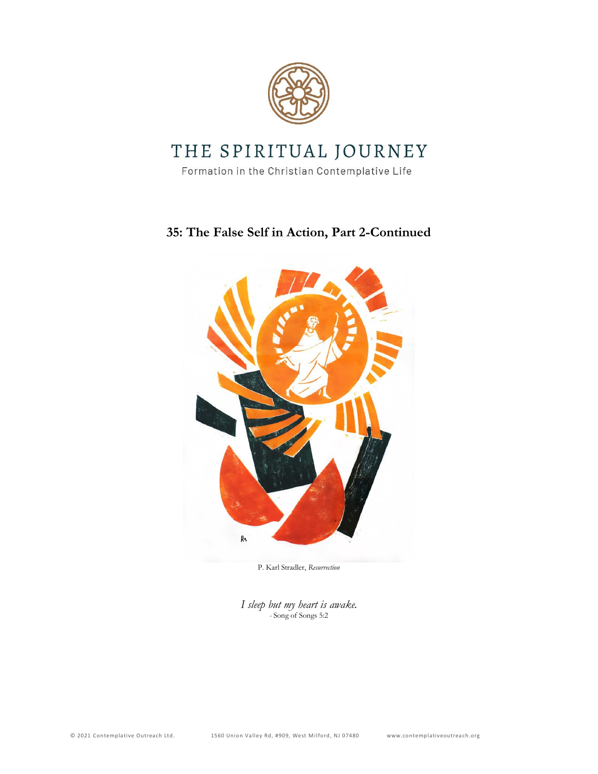

## THE SPIRITUAL JOURNEY

Formation in the Christian Contemplative Life

## **35: The False Self in Action, Part 2-Continued**



P. Karl Stradler, *Resurrection*

*I sleep but my heart is awake. -* Song of Songs 5:2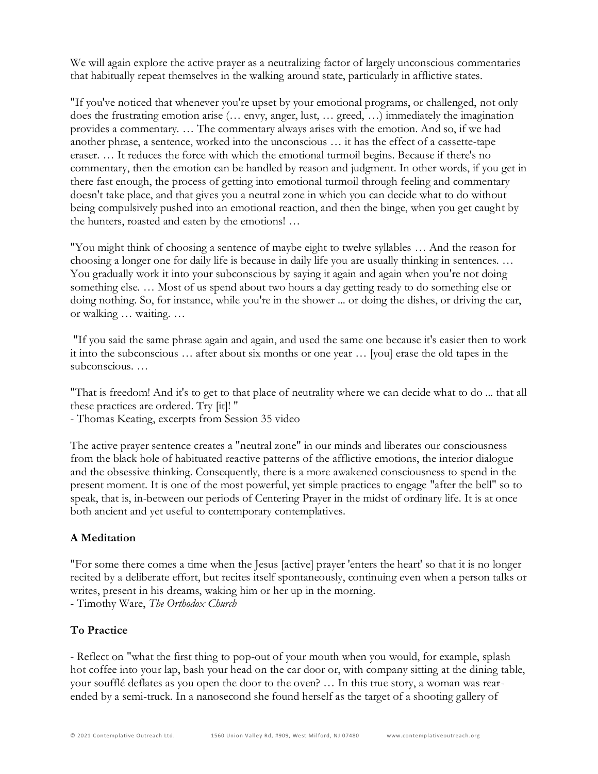We will again explore the active prayer as a neutralizing factor of largely unconscious commentaries that habitually repeat themselves in the walking around state, particularly in afflictive states.

"If you've noticed that whenever you're upset by your emotional programs, or challenged, not only does the frustrating emotion arise (… envy, anger, lust, … greed, …) immediately the imagination provides a commentary. … The commentary always arises with the emotion. And so, if we had another phrase, a sentence, worked into the unconscious … it has the effect of a cassette-tape eraser. … It reduces the force with which the emotional turmoil begins. Because if there's no commentary, then the emotion can be handled by reason and judgment. In other words, if you get in there fast enough, the process of getting into emotional turmoil through feeling and commentary doesn't take place, and that gives you a neutral zone in which you can decide what to do without being compulsively pushed into an emotional reaction, and then the binge, when you get caught by the hunters, roasted and eaten by the emotions! …

"You might think of choosing a sentence of maybe eight to twelve syllables … And the reason for choosing a longer one for daily life is because in daily life you are usually thinking in sentences. … You gradually work it into your subconscious by saying it again and again when you're not doing something else. … Most of us spend about two hours a day getting ready to do something else or doing nothing. So, for instance, while you're in the shower ... or doing the dishes, or driving the car, or walking … waiting. …

"If you said the same phrase again and again, and used the same one because it's easier then to work it into the subconscious … after about six months or one year … [you] erase the old tapes in the subconscious. …

"That is freedom! And it's to get to that place of neutrality where we can decide what to do ... that all these practices are ordered. Try [it]! "

- Thomas Keating, excerpts from Session 35 video

The active prayer sentence creates a "neutral zone" in our minds and liberates our consciousness from the black hole of habituated reactive patterns of the afflictive emotions, the interior dialogue and the obsessive thinking. Consequently, there is a more awakened consciousness to spend in the present moment. It is one of the most powerful, yet simple practices to engage "after the bell" so to speak, that is, in-between our periods of Centering Prayer in the midst of ordinary life. It is at once both ancient and yet useful to contemporary contemplatives.

## **A Meditation**

"For some there comes a time when the Jesus [active] prayer 'enters the heart' so that it is no longer recited by a deliberate effort, but recites itself spontaneously, continuing even when a person talks or writes, present in his dreams, waking him or her up in the morning.

- Timothy Ware, *The Orthodox Church*

## **To Practice**

- Reflect on "what the first thing to pop-out of your mouth when you would, for example, splash hot coffee into your lap, bash your head on the car door or, with company sitting at the dining table, your soufflé deflates as you open the door to the oven? … In this true story, a woman was rearended by a semi-truck. In a nanosecond she found herself as the target of a shooting gallery of